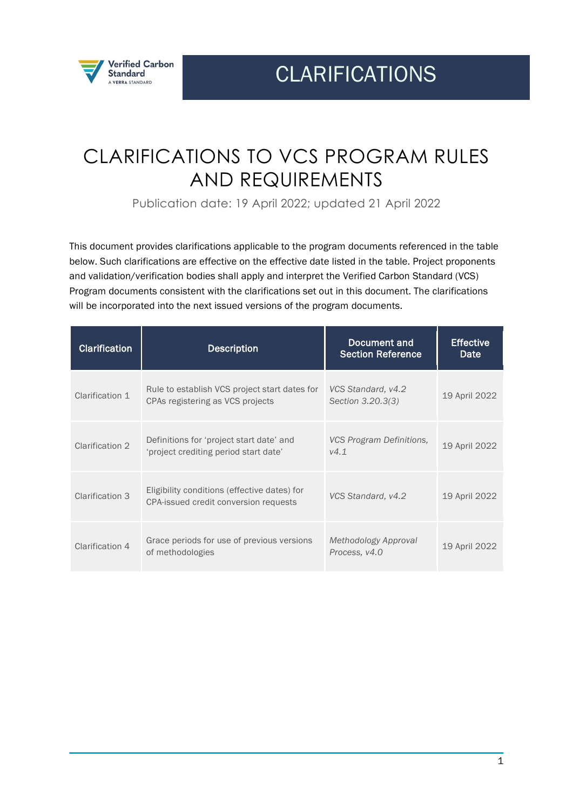

CLARIFICATIONS

# CLARIFICATIONS TO VCS PROGRAM RULES AND REQUIREMENTS

Publication date: 19 April 2022; updated 21 April 2022

This document provides clarifications applicable to the program documents referenced in the table below. Such clarifications are effective on the effective date listed in the table. Project proponents and validation/verification bodies shall apply and interpret the Verified Carbon Standard (VCS) Program documents consistent with the clarifications set out in this document. The clarifications will be incorporated into the next issued versions of the program documents.

| <b>Clarification</b> | <b>Description</b>                                                                    | Document and<br><b>Section Reference</b> | <b>Effective</b><br>Date |
|----------------------|---------------------------------------------------------------------------------------|------------------------------------------|--------------------------|
| Clarification 1      | Rule to establish VCS project start dates for<br>CPAs registering as VCS projects     | VCS Standard, v4.2<br>Section 3.20.3(3)  | 19 April 2022            |
| Clarification 2      | Definitions for 'project start date' and<br>'project crediting period start date'     | VCS Program Definitions,<br>V4.1         | 19 April 2022            |
| Clarification 3      | Eligibility conditions (effective dates) for<br>CPA-issued credit conversion requests | VCS Standard, v4.2                       | 19 April 2022            |
| Clarification 4      | Grace periods for use of previous versions<br>of methodologies                        | Methodology Approval<br>Process, v4.0    | 19 April 2022            |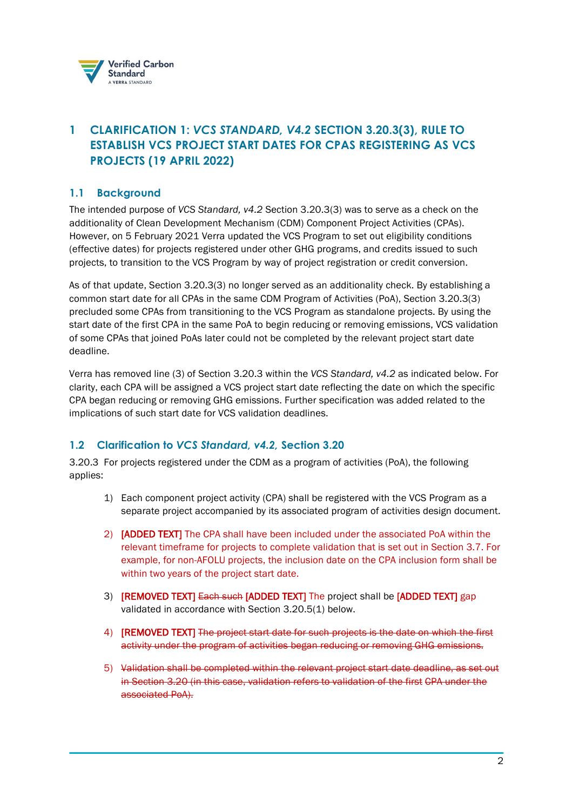

# **1 CLARIFICATION 1:** *VCS STANDARD, V4.2* **SECTION 3.20.3(3), RULE TO ESTABLISH VCS PROJECT START DATES FOR CPAS REGISTERING AS VCS PROJECTS (19 APRIL 2022)**

## **1.1 Background**

The intended purpose of *VCS Standard, v4.2* Section 3.20.3(3) was to serve as a check on the additionality of Clean Development Mechanism (CDM) Component Project Activities (CPAs). However, on 5 February 2021 Verra updated the VCS Program to set out eligibility conditions (effective dates) for projects registered under other GHG programs, and credits issued to such projects, to transition to the VCS Program by way of project registration or credit conversion.

As of that update, Section 3.20.3(3) no longer served as an additionality check. By establishing a common start date for all CPAs in the same CDM Program of Activities (PoA), Section 3.20.3(3) precluded some CPAs from transitioning to the VCS Program as standalone projects. By using the start date of the first CPA in the same PoA to begin reducing or removing emissions, VCS validation of some CPAs that joined PoAs later could not be completed by the relevant project start date deadline.

Verra has removed line (3) of Section 3.20.3 within the *VCS Standard, v4.2* as indicated below. For clarity, each CPA will be assigned a VCS project start date reflecting the date on which the specific CPA began reducing or removing GHG emissions. Further specification was added related to the implications of such start date for VCS validation deadlines.

## **1.2 Clarification to** *VCS Standard, v4.2,* **Section 3.20**

3.20.3 For projects registered under the CDM as a program of activities (PoA), the following applies:

- 1) Each component project activity (CPA) shall be registered with the VCS Program as a separate project accompanied by its associated program of activities design document.
- 2) [ADDED TEXT] The CPA shall have been included under the associated PoA within the relevant timeframe for projects to complete validation that is set out in Section 3.7. For example, for non-AFOLU projects, the inclusion date on the CPA inclusion form shall be within two years of the project start date.
- 3) **IREMOVED TEXTI <del>Each such</del> [ADDED TEXT]** The project shall be **[ADDED TEXT]** gap validated in accordance with Section 3.20.5(1) below.
- 4) [REMOVED TEXT] The project start date for such projects is the date on which the first activity under the program of activities began reducing or removing GHG emissions.
- 5) Validation shall be completed within the relevant project start date deadline, as set out in Section 3.20 (in this case, validation refers to validation of the first CPA under the associated PoA).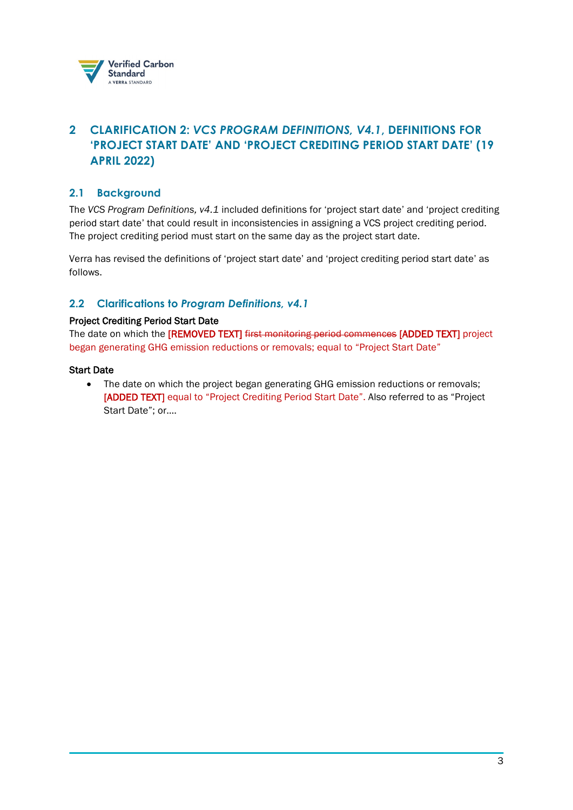

# <span id="page-2-0"></span>**2 CLARIFICATION 2:** *VCS PROGRAM DEFINITIONS, V4.1***, DEFINITIONS FOR 'PROJECT START DATE' AND 'PROJECT CREDITING PERIOD START DATE' (19 APRIL 2022)**

## **2.1 Background**

The *VCS Program Definitions, v4.1* included definitions for 'project start date' and 'project crediting period start date' that could result in inconsistencies in assigning a VCS project crediting period. The project crediting period must start on the same day as the project start date.

Verra has revised the definitions of 'project start date' and 'project crediting period start date' as follows.

### **2.2 Clarifications to** *Program Definitions, v4.1*

#### Project Crediting Period Start Date

The date on which the [REMOVED TEXT] first monitoring period commences [ADDED TEXT] project began generating GHG emission reductions or removals; equal to "Project Start Date"

#### Start Date

• The date on which the project began generating GHG emission reductions or removals; [ADDED TEXT] equal to "Project Crediting Period Start Date". Also referred to as "Project Start Date"; or….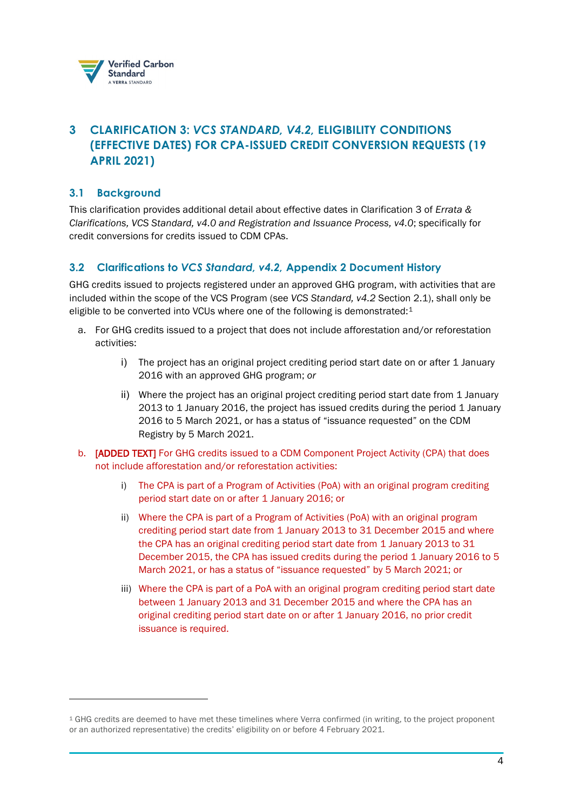

# <span id="page-3-0"></span>**3 CLARIFICATION 3:** *VCS STANDARD, V4.2,* **ELIGIBILITY CONDITIONS (EFFECTIVE DATES) FOR CPA-ISSUED CREDIT CONVERSION REQUESTS (19 APRIL 2021)**

## **3.1 Background**

This clarification provides additional detail about effective dates in Clarification 3 of *Errata & Clarifications, VCS Standard, v4.0 and Registration and Issuance Process, v4.0*; specifically for credit conversions for credits issued to CDM CPAs.

## **3.2 Clarifications to** *VCS Standard, v4.2,* **Appendix 2 Document History**

GHG credits issued to projects registered under an approved GHG program, with activities that are included within the scope of the VCS Program (see *VCS Standard, v4.2* Section 2.1), shall only be eligible to be converted into VCUs where one of the following is demonstrated:<sup>[1](#page-3-1)</sup>

- a. For GHG credits issued to a project that does not include afforestation and/or reforestation activities:
	- i) The project has an original project crediting period start date on or after 1 January 2016 with an approved GHG program; *or*
	- ii) Where the project has an original project crediting period start date from 1 January 2013 to 1 January 2016, the project has issued credits during the period 1 January 2016 to 5 March 2021, or has a status of "issuance requested" on the CDM Registry by 5 March 2021.
- b. [ADDED TEXT] For GHG credits issued to a CDM Component Project Activity (CPA) that does not include afforestation and/or reforestation activities:
	- i) The CPA is part of a Program of Activities (PoA) with an original program crediting period start date on or after 1 January 2016; or
	- ii) Where the CPA is part of a Program of Activities (PoA) with an original program crediting period start date from 1 January 2013 to 31 December 2015 and where the CPA has an original crediting period start date from 1 January 2013 to 31 December 2015, the CPA has issued credits during the period 1 January 2016 to 5 March 2021, or has a status of "issuance requested" by 5 March 2021; or
	- iii) Where the CPA is part of a PoA with an original program crediting period start date between 1 January 2013 and 31 December 2015 and where the CPA has an original crediting period start date on or after 1 January 2016, no prior credit issuance is required.

<span id="page-3-1"></span><sup>1</sup> GHG credits are deemed to have met these timelines where Verra confirmed (in writing, to the project proponent or an authorized representative) the credits' eligibility on or before 4 February 2021.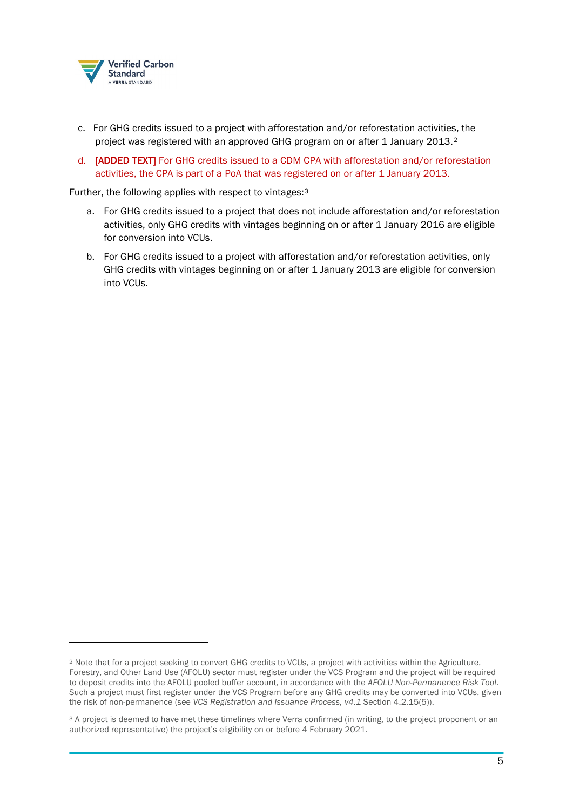

- c. For GHG credits issued to a project with afforestation and/or reforestation activities, the project was registered with an approved GHG program on or after 1 January [2](#page-4-0)013.<sup>2</sup>
- d. [ADDED TEXT] For GHG credits issued to a CDM CPA with afforestation and/or reforestation activities, the CPA is part of a PoA that was registered on or after 1 January 2013.

Further, the following applies with respect to vintages:[3](#page-4-1)

- a. For GHG credits issued to a project that does not include afforestation and/or reforestation activities, only GHG credits with vintages beginning on or after 1 January 2016 are eligible for conversion into VCUs.
- b. For GHG credits issued to a project with afforestation and/or reforestation activities, only GHG credits with vintages beginning on or after 1 January 2013 are eligible for conversion into VCUs.

<span id="page-4-0"></span><sup>2</sup> Note that for a project seeking to convert GHG credits to VCUs, a project with activities within the Agriculture, Forestry, and Other Land Use (AFOLU) sector must register under the VCS Program and the project will be required to deposit credits into the AFOLU pooled buffer account, in accordance with the *AFOLU Non-Permanence Risk Tool*. Such a project must first register under the VCS Program before any GHG credits may be converted into VCUs, given the risk of non-permanence (see *VCS Registration and Issuance Process, v4.1* Section 4.2.15(5)).

<span id="page-4-1"></span><sup>&</sup>lt;sup>3</sup> A project is deemed to have met these timelines where Verra confirmed (in writing, to the project proponent or an authorized representative) the project's eligibility on or before 4 February 2021.